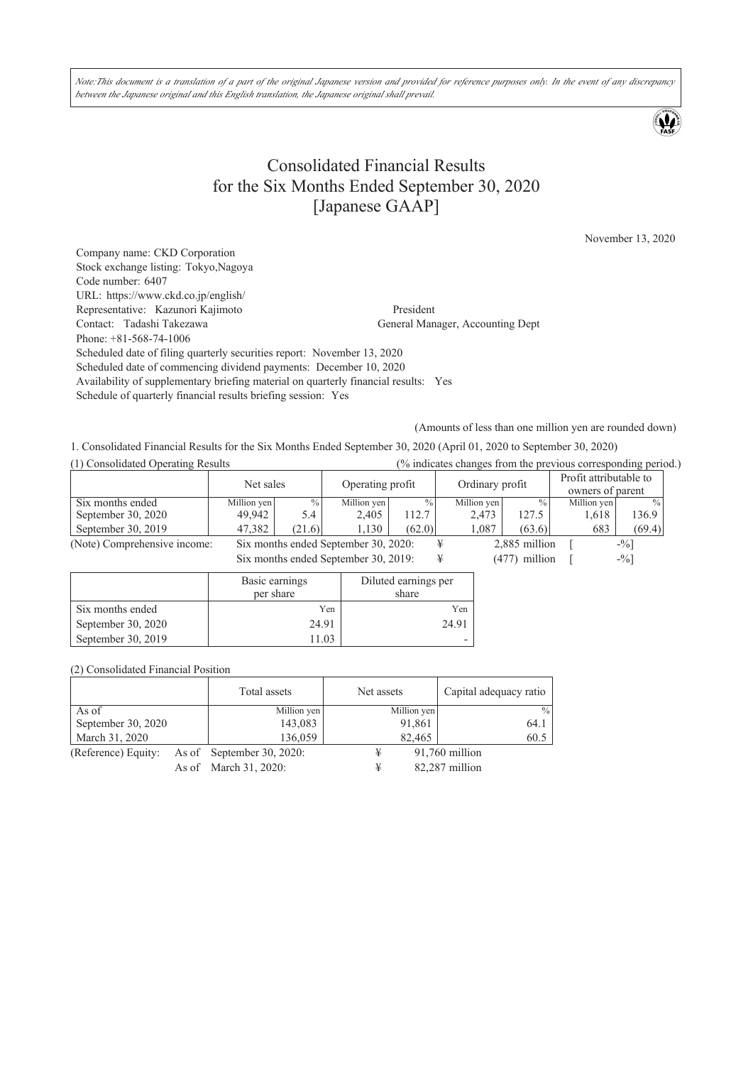Note:This document is a translation of a part of the original Japanese version and provided for reference purposes only. In the event of any discrepancy *between the Japanese original and this English translation, the Japanese original shall prevail.*

# Consolidated Financial Results for the Six Months Ended September 30, 2020 [Japanese GAAP]

November 13, 2020

Company name: CKD Corporation Stock exchange listing: Tokyo,Nagoya Code number: 6407 URL: https://www.ckd.co.jp/english/ Representative: Kazunori Kajimoto President Contact: Tadashi Takezawa **President** General Man General Manager, Accounting Dept Phone: +81-568-74-1006 Scheduled date of filing quarterly securities report: November 13, 2020 Scheduled date of commencing dividend payments: December 10, 2020 Availability of supplementary briefing material on quarterly financial results: Yes Schedule of quarterly financial results briefing session: Yes

(Amounts of less than one million yen are rounded down)

1. Consolidated Financial Results for the Six Months Ended September 30, 2020 (April 01, 2020 to September 30, 2020)

| (1) Consolidated Operating Results<br>(% indicates changes from the previous corresponding period.) |                |                                           |                                      |                      |   |                 |                 |             |                                            |  |
|-----------------------------------------------------------------------------------------------------|----------------|-------------------------------------------|--------------------------------------|----------------------|---|-----------------|-----------------|-------------|--------------------------------------------|--|
|                                                                                                     | Net sales      |                                           | Operating profit                     |                      |   | Ordinary profit |                 |             | Profit attributable to<br>owners of parent |  |
| Six months ended                                                                                    | Million yen    | $\%$                                      | Million yen                          | $\frac{0}{0}$        |   | Million yen     | $\frac{0}{0}$   | Million yen | $\frac{0}{0}$                              |  |
| September 30, 2020                                                                                  | 49,942         | 5.4                                       | 2,405                                | 112.7                |   | 2,473           | 127.5           | 1,618       | 136.9                                      |  |
| September 30, 2019                                                                                  | 47,382         | (21.6)                                    | 1,130                                | (62.0)               |   | 1,087           | (63.6)          | 683         | (69.4)                                     |  |
| (Note) Comprehensive income:                                                                        |                |                                           | Six months ended September 30, 2020: |                      | ¥ |                 | 2,885 million   |             | $-9/0$                                     |  |
|                                                                                                     |                | Six months ended September 30, 2019:<br>¥ |                                      |                      |   |                 | $(477)$ million |             | $-9/0$                                     |  |
|                                                                                                     | Basic earnings |                                           |                                      | Diluted earnings per |   |                 |                 |             |                                            |  |

|                    | Basic earnings | Duuted earnings per |
|--------------------|----------------|---------------------|
|                    | per share      | share               |
| Six months ended   | Yen            | Yen                 |
| September 30, 2020 | 24.91          | 24.91               |
| September 30, 2019 | 11.03          |                     |

(2) Consolidated Financial Position

|                     | Total assets              | Net assets  | Capital adequacy ratio |
|---------------------|---------------------------|-------------|------------------------|
| As of               | Million yen               | Million yen | $\frac{0}{0}$          |
| September 30, 2020  | 143,083                   | 91,861      | 64.1                   |
| March 31, 2020      | 136,059                   | 82,465      | 60.5                   |
| (Reference) Equity: | As of September 30, 2020: | ¥           | 91,760 million         |
|                     | As of March 31, 2020:     | ¥           | 82,287 million         |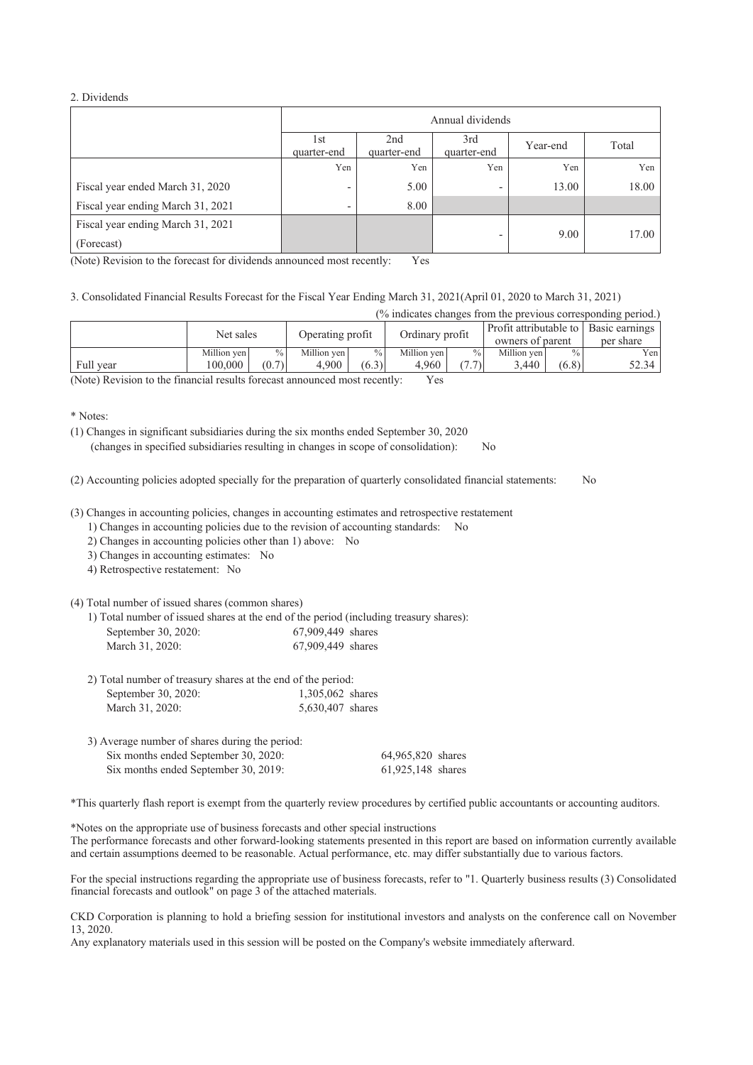## 2. Dividends

|                                   | Annual dividends         |       |     |       |       |  |
|-----------------------------------|--------------------------|-------|-----|-------|-------|--|
|                                   | 1st<br>quarter-end       | Total |     |       |       |  |
|                                   | Yen                      | Yen   | Yen | Yen   | Yen   |  |
| Fiscal year ended March 31, 2020  | $\overline{\phantom{0}}$ | 5.00  | -   | 13.00 | 18.00 |  |
| Fiscal year ending March 31, 2021 | $\overline{\phantom{0}}$ | 8.00  |     |       |       |  |
| Fiscal year ending March 31, 2021 |                          |       | -   | 9.00  | 17.00 |  |
| (Forecast)                        |                          |       |     |       |       |  |

(Note) Revision to the forecast for dividends announced most recently: Yes

3. Consolidated Financial Results Forecast for the Fiscal Year Ending March 31, 2021(April 01, 2020 to March 31, 2021)

(% indicates changes from the previous corresponding period.)

|           | Net sales   |               | Operating profit |               | Ordinary profit |               | owners of parent |               | Profit attributable to   Basic earnings  <br>per share |
|-----------|-------------|---------------|------------------|---------------|-----------------|---------------|------------------|---------------|--------------------------------------------------------|
|           | Million yen | $\frac{0}{0}$ | Million ven      | $\frac{0}{0}$ | Million ven     | $\frac{0}{0}$ | Million ven      | $\frac{0}{0}$ | Yen <sub>1</sub>                                       |
| Full year | 100.000     | (0.7)         | 4.900            | (6.3)         | 4.960           | $\sqrt{2}$    | 3,440            | (6.8)         | 52.34                                                  |

(Note) Revision to the financial results forecast announced most recently: Yes

\* Notes:

(1) Changes in significant subsidiaries during the six months ended September 30, 2020 (changes in specified subsidiaries resulting in changes in scope of consolidation): No

(2) Accounting policies adopted specially for the preparation of quarterly consolidated financial statements: No

(3) Changes in accounting policies, changes in accounting estimates and retrospective restatement

1) Changes in accounting policies due to the revision of accounting standards: No

2) Changes in accounting policies other than 1) above: No

3) Changes in accounting estimates: No

4) Retrospective restatement: No

(4) Total number of issued shares (common shares)

1) Total number of issued shares at the end of the period (including treasury shares): September 30, 2020: 67,909,449 shares March 31, 2020: 67,909,449 shares

| 2) Total number of treasury shares at the end of the period: |                  |
|--------------------------------------------------------------|------------------|
| September 30, 2020:                                          | 1,305,062 shares |
| March 31, 2020:                                              | 5,630,407 shares |

| 3) Average number of shares during the period: |                   |
|------------------------------------------------|-------------------|
| Six months ended September 30, 2020:           | 64,965,820 shares |
| Six months ended September 30, 2019:           | 61,925,148 shares |

\*This quarterly flash report is exempt from the quarterly review procedures by certified public accountants or accounting auditors.

\*Notes on the appropriate use of business forecasts and other special instructions The performance forecasts and other forward-looking statements presented in this report are based on information currently available and certain assumptions deemed to be reasonable. Actual performance, etc. may differ substantially due to various factors.

For the special instructions regarding the appropriate use of business forecasts, refer to "1. Quarterly business results (3) Consolidated financial forecasts and outlook" on page 3 of the attached materials.

CKD Corporation is planning to hold a briefing session for institutional investors and analysts on the conference call on November 13, 2020.

Any explanatory materials used in this session will be posted on the Company's website immediately afterward.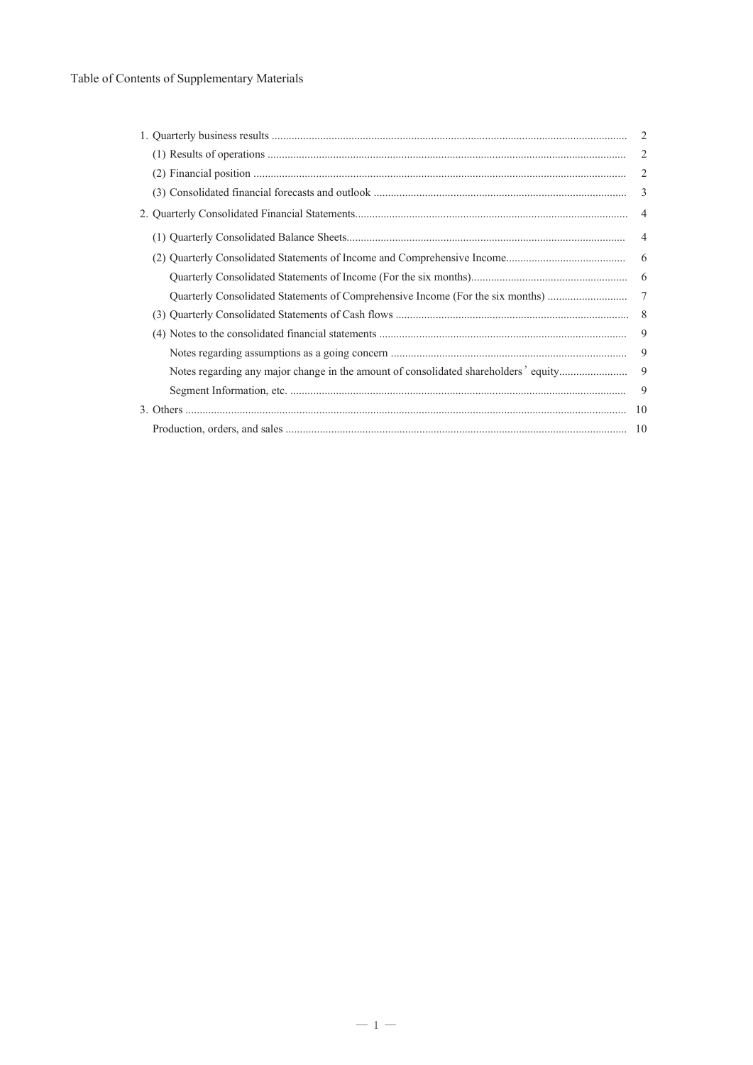# Table of Contents of Supplementary Materials

|                                                                                     | 2              |
|-------------------------------------------------------------------------------------|----------------|
|                                                                                     | $\overline{2}$ |
|                                                                                     | 2              |
|                                                                                     | 3              |
|                                                                                     |                |
|                                                                                     | $\overline{4}$ |
|                                                                                     | - 6            |
|                                                                                     | - 6            |
| Quarterly Consolidated Statements of Comprehensive Income (For the six months)      | $\tau$         |
|                                                                                     |                |
|                                                                                     | 9              |
|                                                                                     | 9              |
| Notes regarding any major change in the amount of consolidated shareholders' equity | 9              |
|                                                                                     | 9              |
|                                                                                     |                |
|                                                                                     |                |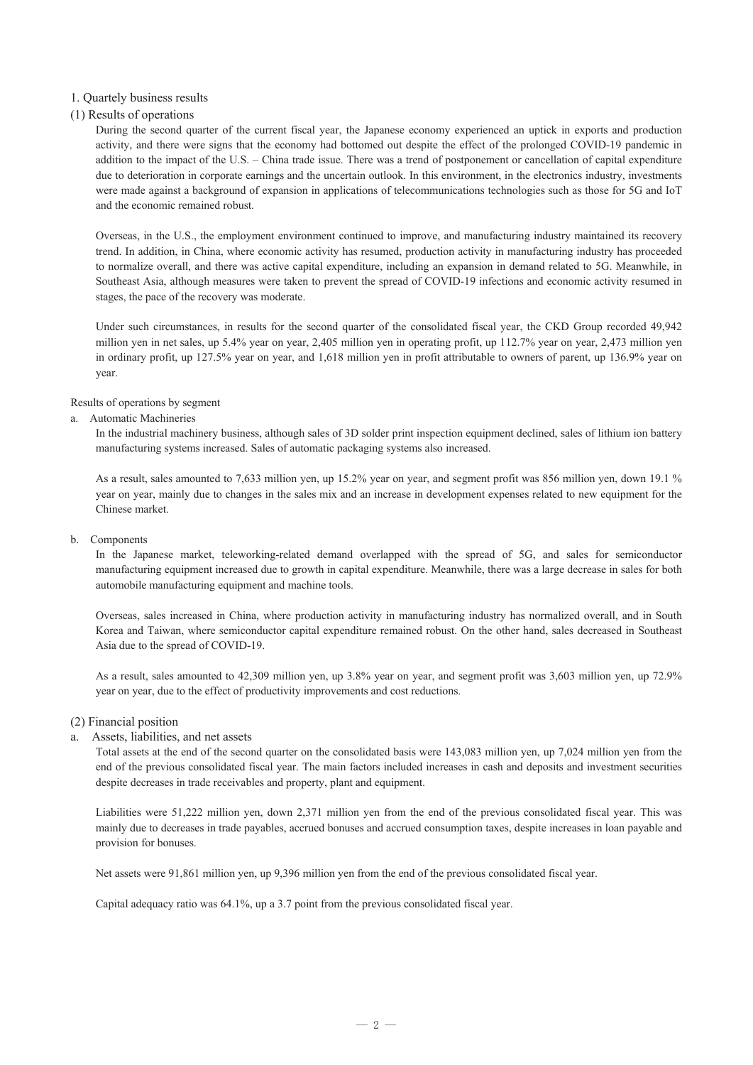## 1. Quartely business results

## (1) Results of operations

During the second quarter of the current fiscal year, the Japanese economy experienced an uptick in exports and production activity, and there were signs that the economy had bottomed out despite the effect of the prolonged COVID-19 pandemic in addition to the impact of the U.S. – China trade issue. There was a trend of postponement or cancellation of capital expenditure due to deterioration in corporate earnings and the uncertain outlook. In this environment, in the electronics industry, investments were made against a background of expansion in applications of telecommunications technologies such as those for 5G and IoT and the economic remained robust.

Overseas, in the U.S., the employment environment continued to improve, and manufacturing industry maintained its recovery trend. In addition, in China, where economic activity has resumed, production activity in manufacturing industry has proceeded to normalize overall, and there was active capital expenditure, including an expansion in demand related to 5G. Meanwhile, in Southeast Asia, although measures were taken to prevent the spread of COVID-19 infections and economic activity resumed in stages, the pace of the recovery was moderate.

Under such circumstances, in results for the second quarter of the consolidated fiscal year, the CKD Group recorded 49,942 million yen in net sales, up 5.4% year on year, 2,405 million yen in operating profit, up 112.7% year on year, 2,473 million yen in ordinary profit, up 127.5% year on year, and 1,618 million yen in profit attributable to owners of parent, up 136.9% year on year.

### Results of operations by segment

#### a. Automatic Machineries

In the industrial machinery business, although sales of 3D solder print inspection equipment declined, sales of lithium ion battery manufacturing systems increased. Sales of automatic packaging systems also increased.

As a result, sales amounted to 7,633 million yen, up 15.2% year on year, and segment profit was 856 million yen, down 19.1 % year on year, mainly due to changes in the sales mix and an increase in development expenses related to new equipment for the Chinese market.

#### b. Components

In the Japanese market, teleworking-related demand overlapped with the spread of 5G, and sales for semiconductor manufacturing equipment increased due to growth in capital expenditure. Meanwhile, there was a large decrease in sales for both automobile manufacturing equipment and machine tools.

Overseas, sales increased in China, where production activity in manufacturing industry has normalized overall, and in South Korea and Taiwan, where semiconductor capital expenditure remained robust. On the other hand, sales decreased in Southeast Asia due to the spread of COVID-19.

As a result, sales amounted to 42,309 million yen, up 3.8% year on year, and segment profit was 3,603 million yen, up 72.9% year on year, due to the effect of productivity improvements and cost reductions.

### (2) Financial position

### a. Assets, liabilities, and net assets

Total assets at the end of the second quarter on the consolidated basis were 143,083 million yen, up 7,024 million yen from the end of the previous consolidated fiscal year. The main factors included increases in cash and deposits and investment securities despite decreases in trade receivables and property, plant and equipment.

Liabilities were 51,222 million yen, down 2,371 million yen from the end of the previous consolidated fiscal year. This was mainly due to decreases in trade payables, accrued bonuses and accrued consumption taxes, despite increases in loan payable and provision for bonuses.

Net assets were 91,861 million yen, up 9,396 million yen from the end of the previous consolidated fiscal year.

Capital adequacy ratio was 64.1%, up a 3.7 point from the previous consolidated fiscal year.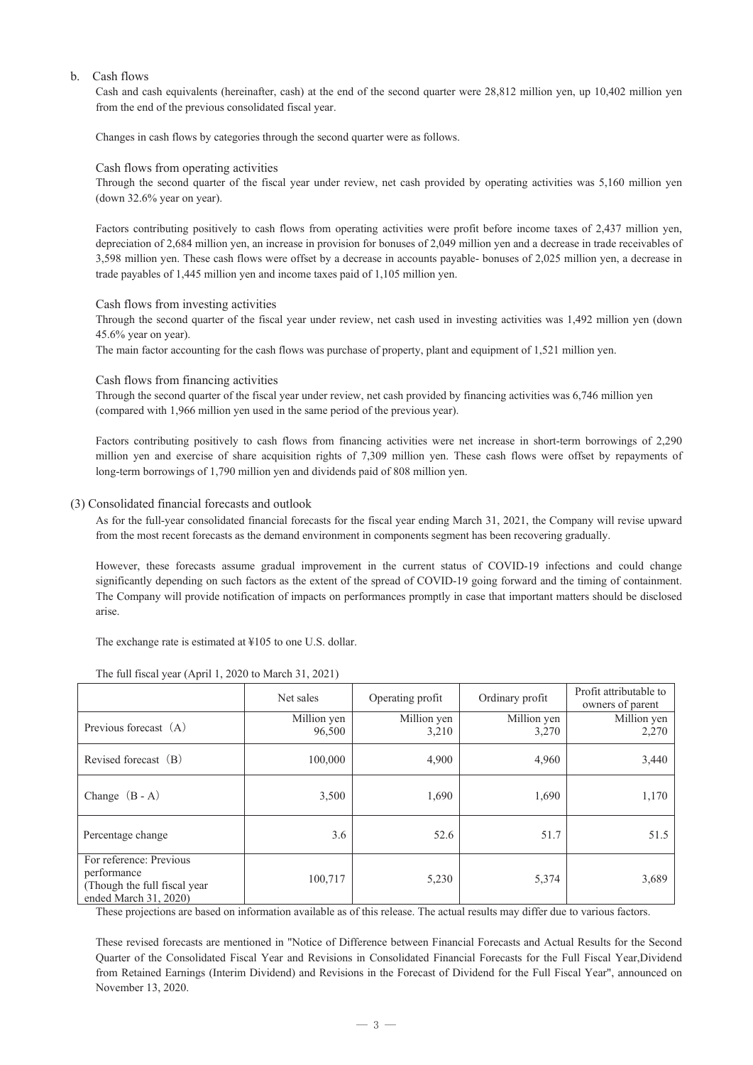## b. Cash flows

Cash and cash equivalents (hereinafter, cash) at the end of the second quarter were 28,812 million yen, up 10,402 million yen from the end of the previous consolidated fiscal year.

Changes in cash flows by categories through the second quarter were as follows.

### Cash flows from operating activities

Through the second quarter of the fiscal year under review, net cash provided by operating activities was 5,160 million yen (down 32.6% year on year).

Factors contributing positively to cash flows from operating activities were profit before income taxes of 2,437 million yen, depreciation of 2,684 million yen, an increase in provision for bonuses of 2,049 million yen and a decrease in trade receivables of 3,598 million yen. These cash flows were offset by a decrease in accounts payable- bonuses of 2,025 million yen, a decrease in trade payables of 1,445 million yen and income taxes paid of 1,105 million yen.

#### Cash flows from investing activities

Through the second quarter of the fiscal year under review, net cash used in investing activities was 1,492 million yen (down 45.6% year on year).

The main factor accounting for the cash flows was purchase of property, plant and equipment of 1,521 million yen.

Cash flows from financing activities

Through the second quarter of the fiscal year under review, net cash provided by financing activities was 6,746 million yen (compared with 1,966 million yen used in the same period of the previous year).

Factors contributing positively to cash flows from financing activities were net increase in short-term borrowings of 2,290 million yen and exercise of share acquisition rights of 7,309 million yen. These cash flows were offset by repayments of long-term borrowings of 1,790 million yen and dividends paid of 808 million yen.

#### (3) Consolidated financial forecasts and outlook

As for the full-year consolidated financial forecasts for the fiscal year ending March 31, 2021, the Company will revise upward from the most recent forecasts as the demand environment in components segment has been recovering gradually.

However, these forecasts assume gradual improvement in the current status of COVID-19 infections and could change significantly depending on such factors as the extent of the spread of COVID-19 going forward and the timing of containment. The Company will provide notification of impacts on performances promptly in case that important matters should be disclosed arise.

The exchange rate is estimated at ¥105 to one U.S. dollar.

| The full fiscal year (April 1, 2020 to March $31, 2021$ ) |           |         |  |  |  |
|-----------------------------------------------------------|-----------|---------|--|--|--|
|                                                           | Net sales | Operati |  |  |  |

|                                                                                                  | Net sales             | Operating profit     | Ordinary profit      | Profit attributable to<br>owners of parent |
|--------------------------------------------------------------------------------------------------|-----------------------|----------------------|----------------------|--------------------------------------------|
| Previous forecast (A)                                                                            | Million yen<br>96,500 | Million yen<br>3,210 | Million yen<br>3,270 | Million yen<br>2,270                       |
| Revised forecast (B)                                                                             | 100,000               | 4,900                | 4,960                | 3,440                                      |
| Change $(B - A)$                                                                                 | 3,500                 | 1,690                | 1,690                | 1,170                                      |
| Percentage change                                                                                | 3.6                   | 52.6                 | 51.7                 | 51.5                                       |
| For reference: Previous<br>performance<br>(Though the full fiscal year)<br>ended March 31, 2020) | 100,717               | 5,230                | 5,374                | 3,689                                      |

These projections are based on information available as of this release. The actual results may differ due to various factors.

These revised forecasts are mentioned in "Notice of Difference between Financial Forecasts and Actual Results for the Second Quarter of the Consolidated Fiscal Year and Revisions in Consolidated Financial Forecasts for the Full Fiscal Year,Dividend from Retained Earnings (Interim Dividend) and Revisions in the Forecast of Dividend for the Full Fiscal Year", announced on November 13, 2020.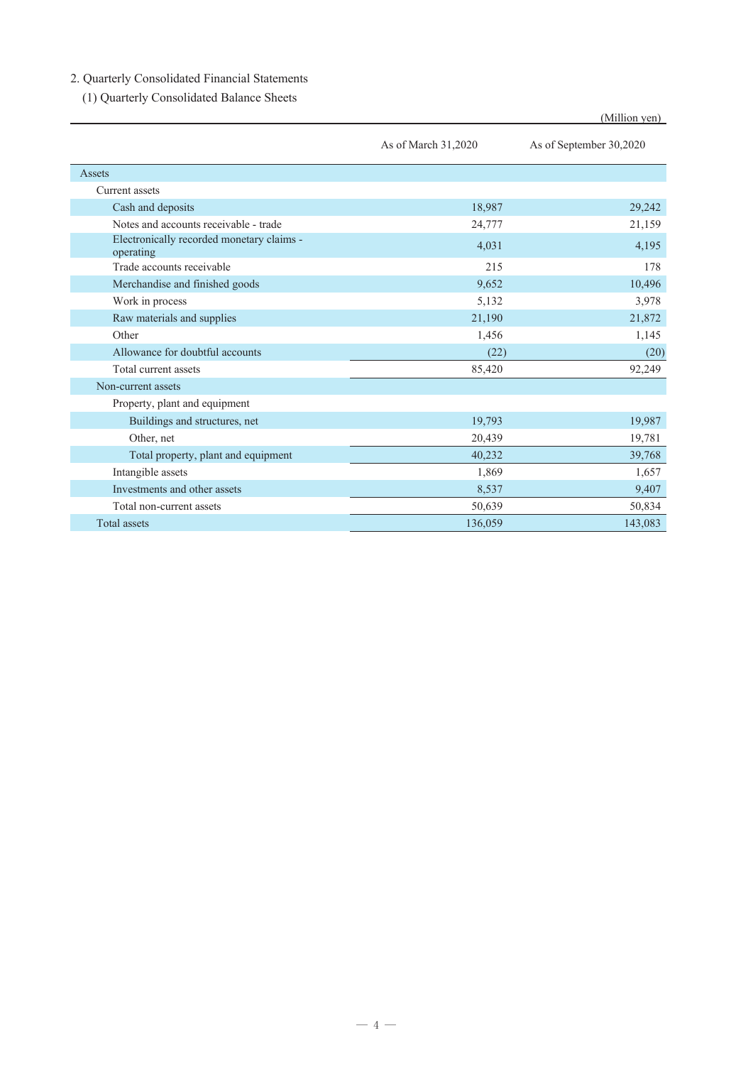# 2. Quarterly Consolidated Financial Statements

(1) Quarterly Consolidated Balance Sheets

|                                                        |                     | (Million yen)           |
|--------------------------------------------------------|---------------------|-------------------------|
|                                                        | As of March 31,2020 | As of September 30,2020 |
| Assets                                                 |                     |                         |
| Current assets                                         |                     |                         |
| Cash and deposits                                      | 18,987              | 29,242                  |
| Notes and accounts receivable - trade                  | 24,777              | 21,159                  |
| Electronically recorded monetary claims -<br>operating | 4,031               | 4,195                   |
| Trade accounts receivable                              | 215                 | 178                     |
| Merchandise and finished goods                         | 9,652               | 10,496                  |
| Work in process                                        | 5,132               | 3,978                   |
| Raw materials and supplies                             | 21,190              | 21,872                  |
| Other                                                  | 1,456               | 1,145                   |
| Allowance for doubtful accounts                        | (22)                | (20)                    |
| Total current assets                                   | 85,420              | 92,249                  |
| Non-current assets                                     |                     |                         |
| Property, plant and equipment                          |                     |                         |
| Buildings and structures, net                          | 19,793              | 19,987                  |
| Other, net                                             | 20,439              | 19,781                  |
| Total property, plant and equipment                    | 40,232              | 39,768                  |
| Intangible assets                                      | 1,869               | 1,657                   |
| Investments and other assets                           | 8,537               | 9,407                   |
| Total non-current assets                               | 50,639              | 50,834                  |
| <b>Total assets</b>                                    | 136,059             | 143,083                 |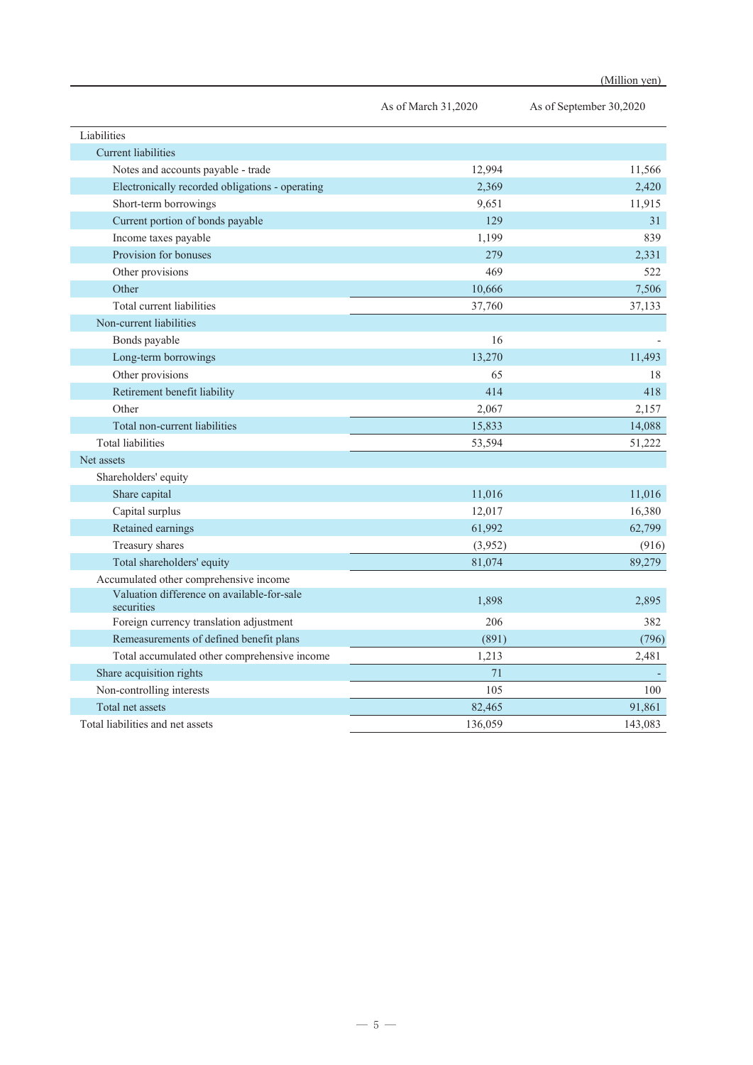|                                                          | As of March 31,2020 | As of September 30,2020 |
|----------------------------------------------------------|---------------------|-------------------------|
| Liabilities                                              |                     |                         |
| <b>Current liabilities</b>                               |                     |                         |
| Notes and accounts payable - trade                       | 12,994              | 11,566                  |
| Electronically recorded obligations - operating          | 2,369               | 2,420                   |
| Short-term borrowings                                    | 9,651               | 11,915                  |
| Current portion of bonds payable                         | 129                 | 31                      |
| Income taxes payable                                     | 1,199               | 839                     |
| Provision for bonuses                                    | 279                 | 2,331                   |
| Other provisions                                         | 469                 | 522                     |
| Other                                                    | 10,666              | 7,506                   |
| Total current liabilities                                | 37,760              | 37,133                  |
| Non-current liabilities                                  |                     |                         |
| Bonds payable                                            | 16                  |                         |
| Long-term borrowings                                     | 13,270              | 11,493                  |
| Other provisions                                         | 65                  | 18                      |
| Retirement benefit liability                             | 414                 | 418                     |
| Other                                                    | 2,067               | 2,157                   |
| Total non-current liabilities                            | 15,833              | 14,088                  |
| <b>Total liabilities</b>                                 | 53,594              | 51,222                  |
| Net assets                                               |                     |                         |
| Shareholders' equity                                     |                     |                         |
| Share capital                                            | 11,016              | 11,016                  |
| Capital surplus                                          | 12,017              | 16,380                  |
| Retained earnings                                        | 61,992              | 62,799                  |
| Treasury shares                                          | (3,952)             | (916)                   |
| Total shareholders' equity                               | 81,074              | 89,279                  |
| Accumulated other comprehensive income                   |                     |                         |
| Valuation difference on available-for-sale<br>securities | 1,898               | 2,895                   |
| Foreign currency translation adjustment                  | 206                 | 382                     |
| Remeasurements of defined benefit plans                  | (891)               | (796)                   |
| Total accumulated other comprehensive income             | 1,213               | 2,481                   |
| Share acquisition rights                                 | 71                  |                         |
| Non-controlling interests                                | 105                 | 100                     |
| Total net assets                                         | 82,465              | 91,861                  |
| Total liabilities and net assets                         | 136,059             | 143,083                 |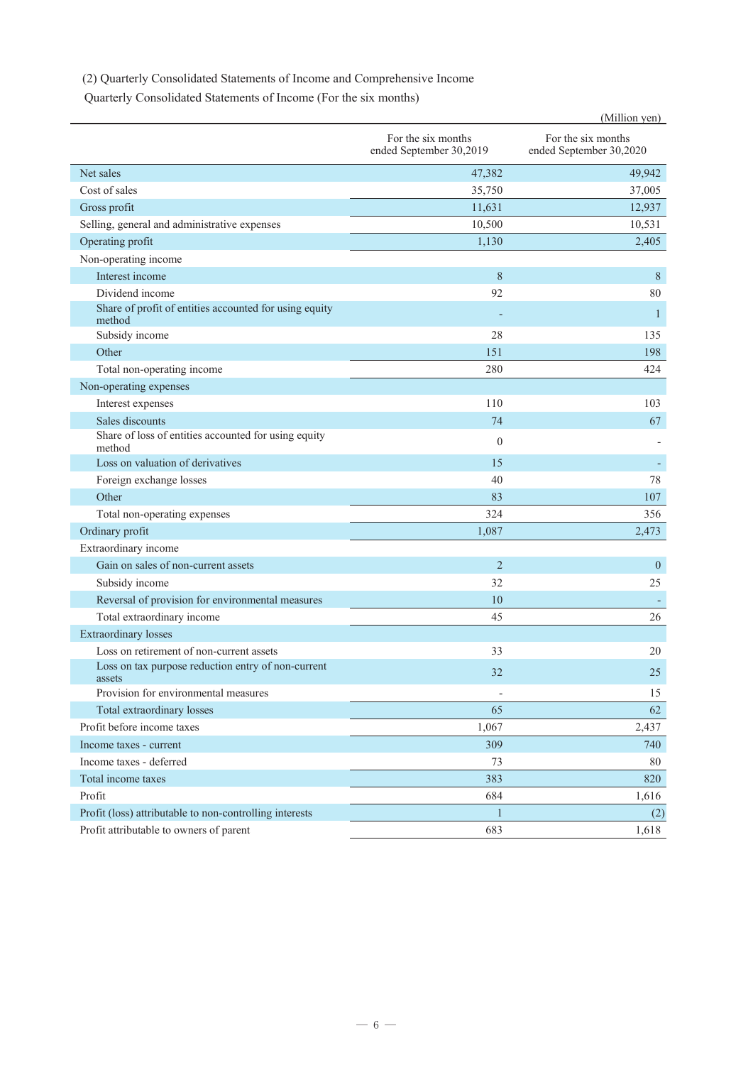# (2) Quarterly Consolidated Statements of Income and Comprehensive Income

Quarterly Consolidated Statements of Income (For the six months)

|                                                                  |                                               | (Million yen)                                 |
|------------------------------------------------------------------|-----------------------------------------------|-----------------------------------------------|
|                                                                  | For the six months<br>ended September 30,2019 | For the six months<br>ended September 30,2020 |
| Net sales                                                        | 47,382                                        | 49,942                                        |
| Cost of sales                                                    | 35,750                                        | 37,005                                        |
| Gross profit                                                     | 11,631                                        | 12,937                                        |
| Selling, general and administrative expenses                     | 10,500                                        | 10,531                                        |
| Operating profit                                                 | 1,130                                         | 2,405                                         |
| Non-operating income                                             |                                               |                                               |
| Interest income                                                  | 8                                             | 8                                             |
| Dividend income                                                  | 92                                            | 80                                            |
| Share of profit of entities accounted for using equity<br>method |                                               | 1                                             |
| Subsidy income                                                   | 28                                            | 135                                           |
| Other                                                            | 151                                           | 198                                           |
| Total non-operating income                                       | 280                                           | 424                                           |
| Non-operating expenses                                           |                                               |                                               |
| Interest expenses                                                | 110                                           | 103                                           |
| Sales discounts                                                  | 74                                            | 67                                            |
| Share of loss of entities accounted for using equity<br>method   | $\theta$                                      |                                               |
| Loss on valuation of derivatives                                 | 15                                            |                                               |
| Foreign exchange losses                                          | 40                                            | 78                                            |
| Other                                                            | 83                                            | 107                                           |
| Total non-operating expenses                                     | 324                                           | 356                                           |
| Ordinary profit                                                  | 1,087                                         | 2,473                                         |
| Extraordinary income                                             |                                               |                                               |
| Gain on sales of non-current assets                              | $\overline{2}$                                | $\mathbf{0}$                                  |
| Subsidy income                                                   | 32                                            | 25                                            |
| Reversal of provision for environmental measures                 | 10                                            |                                               |
| Total extraordinary income                                       | 45                                            | 26                                            |
| <b>Extraordinary losses</b>                                      |                                               |                                               |
| Loss on retirement of non-current assets                         | 33                                            | 20                                            |
| Loss on tax purpose reduction entry of non-current<br>assets     | 32                                            | 25                                            |
| Provision for environmental measures                             | $\overline{\phantom{a}}$                      | 15                                            |
| Total extraordinary losses                                       | 65                                            | 62                                            |
| Profit before income taxes                                       | 1,067                                         | 2,437                                         |
| Income taxes - current                                           | 309                                           | 740                                           |
| Income taxes - deferred                                          | 73                                            | 80                                            |
| Total income taxes                                               | 383                                           | 820                                           |
| Profit                                                           | 684                                           | 1,616                                         |
| Profit (loss) attributable to non-controlling interests          | $\mathbf{1}$                                  | (2)                                           |
| Profit attributable to owners of parent                          | 683                                           | 1,618                                         |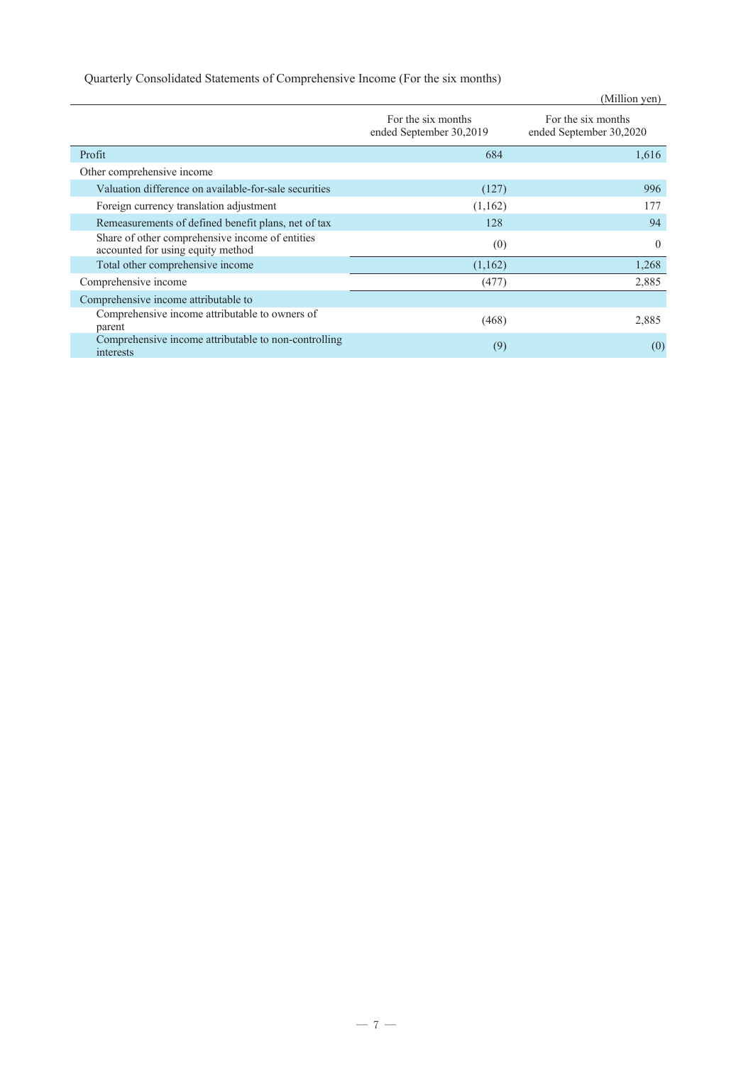# Quarterly Consolidated Statements of Comprehensive Income (For the six months)

|                                                                                      |                                               | (Million yen)                                 |
|--------------------------------------------------------------------------------------|-----------------------------------------------|-----------------------------------------------|
|                                                                                      | For the six months<br>ended September 30,2019 | For the six months<br>ended September 30,2020 |
| Profit                                                                               | 684                                           | 1,616                                         |
| Other comprehensive income                                                           |                                               |                                               |
| Valuation difference on available-for-sale securities                                | (127)                                         | 996                                           |
| Foreign currency translation adjustment                                              | (1,162)                                       | 177                                           |
| Remeasurements of defined benefit plans, net of tax                                  | 128                                           | 94                                            |
| Share of other comprehensive income of entities<br>accounted for using equity method | (0)                                           | $\theta$                                      |
| Total other comprehensive income                                                     | (1,162)                                       | 1,268                                         |
| Comprehensive income                                                                 | (477)                                         | 2,885                                         |
| Comprehensive income attributable to                                                 |                                               |                                               |
| Comprehensive income attributable to owners of<br>parent                             | (468)                                         | 2,885                                         |
| Comprehensive income attributable to non-controlling<br>interests                    | (9)                                           | (0)                                           |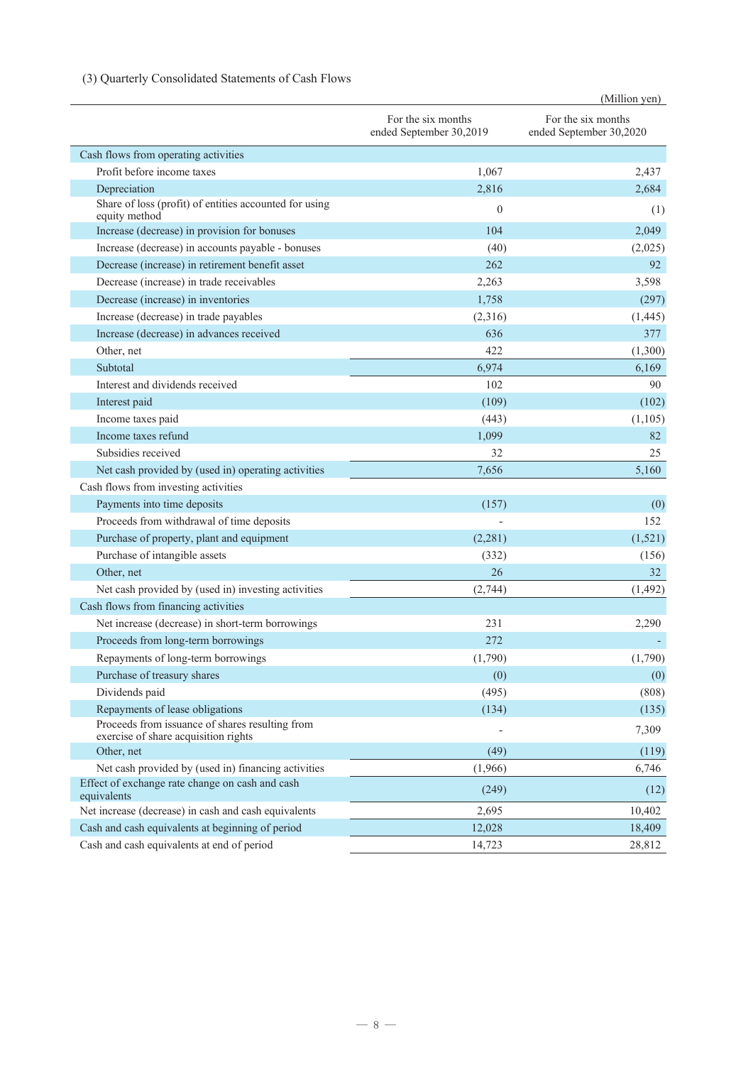# (3) Quarterly Consolidated Statements of Cash Flows

|                                                                                         |                                               | (Million yen)                                 |
|-----------------------------------------------------------------------------------------|-----------------------------------------------|-----------------------------------------------|
|                                                                                         | For the six months<br>ended September 30,2019 | For the six months<br>ended September 30,2020 |
| Cash flows from operating activities                                                    |                                               |                                               |
| Profit before income taxes                                                              | 1,067                                         | 2,437                                         |
| Depreciation                                                                            | 2,816                                         | 2,684                                         |
| Share of loss (profit) of entities accounted for using<br>equity method                 | $\theta$                                      | (1)                                           |
| Increase (decrease) in provision for bonuses                                            | 104                                           | 2,049                                         |
| Increase (decrease) in accounts payable - bonuses                                       | (40)                                          | (2,025)                                       |
| Decrease (increase) in retirement benefit asset                                         | 262                                           | 92                                            |
| Decrease (increase) in trade receivables                                                | 2,263                                         | 3,598                                         |
| Decrease (increase) in inventories                                                      | 1,758                                         | (297)                                         |
| Increase (decrease) in trade payables                                                   | (2,316)                                       | (1,445)                                       |
| Increase (decrease) in advances received                                                | 636                                           | 377                                           |
| Other, net                                                                              | 422                                           | (1,300)                                       |
| Subtotal                                                                                | 6,974                                         | 6,169                                         |
| Interest and dividends received                                                         | 102                                           | 90                                            |
| Interest paid                                                                           | (109)                                         | (102)                                         |
| Income taxes paid                                                                       | (443)                                         | (1,105)                                       |
| Income taxes refund                                                                     | 1,099                                         | 82                                            |
| Subsidies received                                                                      | 32                                            | 25                                            |
| Net cash provided by (used in) operating activities                                     | 7,656                                         | 5,160                                         |
| Cash flows from investing activities                                                    |                                               |                                               |
| Payments into time deposits                                                             | (157)                                         | (0)                                           |
| Proceeds from withdrawal of time deposits                                               |                                               | 152                                           |
| Purchase of property, plant and equipment                                               | (2,281)                                       | (1,521)                                       |
| Purchase of intangible assets                                                           | (332)                                         | (156)                                         |
| Other, net                                                                              | 26                                            | 32                                            |
| Net cash provided by (used in) investing activities                                     | (2,744)                                       | (1, 492)                                      |
| Cash flows from financing activities                                                    |                                               |                                               |
| Net increase (decrease) in short-term borrowings                                        | 231                                           | 2,290                                         |
| Proceeds from long-term borrowings                                                      | 272                                           |                                               |
| Repayments of long-term borrowings                                                      | (1,790)                                       | (1,790)                                       |
| Purchase of treasury shares                                                             | (0)                                           | (0)                                           |
| Dividends paid                                                                          | (495)                                         | (808)                                         |
| Repayments of lease obligations                                                         | (134)                                         | (135)                                         |
| Proceeds from issuance of shares resulting from<br>exercise of share acquisition rights |                                               | 7,309                                         |
| Other, net                                                                              | (49)                                          | (119)                                         |
| Net cash provided by (used in) financing activities                                     | (1,966)                                       | 6,746                                         |
| Effect of exchange rate change on cash and cash<br>equivalents                          | (249)                                         | (12)                                          |
| Net increase (decrease) in cash and cash equivalents                                    | 2,695                                         | 10,402                                        |
| Cash and cash equivalents at beginning of period                                        | 12,028                                        | 18,409                                        |
| Cash and cash equivalents at end of period                                              | 14,723                                        | 28,812                                        |
|                                                                                         |                                               |                                               |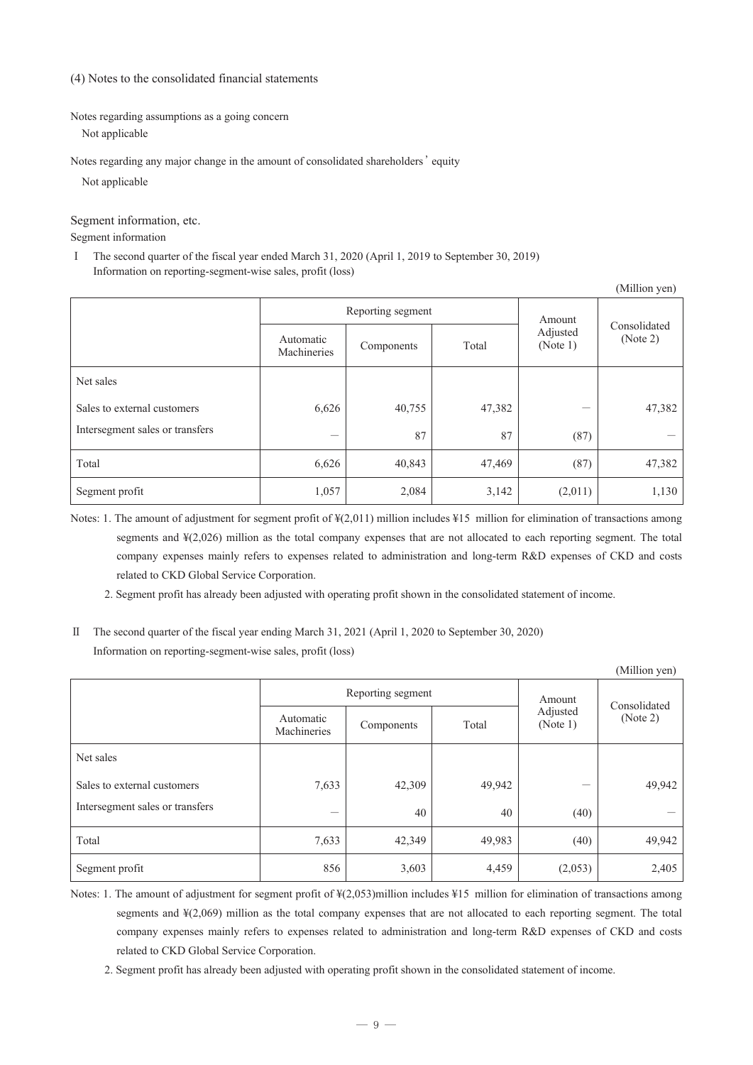(4) Notes to the consolidated financial statements

Notes regarding assumptions as a going concern

Not applicable

Notes regarding any major change in the amount of consolidated shareholders' equity

Not applicable

## Segment information, etc.

Segment information

Ⅰ The second quarter of the fiscal year ended March 31, 2020 (April 1, 2019 to September 30, 2019) Information on reporting-segment-wise sales, profit (loss)

| (Million yen)                   |                          |            |        |                      |                          |  |
|---------------------------------|--------------------------|------------|--------|----------------------|--------------------------|--|
|                                 | Reporting segment        |            |        | Amount               |                          |  |
|                                 | Automatic<br>Machineries | Components | Total  | Adjusted<br>(Note 1) | Consolidated<br>(Note 2) |  |
| Net sales                       |                          |            |        |                      |                          |  |
| Sales to external customers     | 6,626                    | 40,755     | 47,382 |                      | 47,382                   |  |
| Intersegment sales or transfers | —                        | 87         | 87     | (87)                 |                          |  |
| Total                           | 6,626                    | 40,843     | 47,469 | (87)                 | 47,382                   |  |
| Segment profit                  | 1,057                    | 2,084      | 3,142  | (2,011)              | 1,130                    |  |

Notes: 1. The amount of adjustment for segment profit of ¥(2,011) million includes ¥15 million for elimination of transactions among segments and ¥(2,026) million as the total company expenses that are not allocated to each reporting segment. The total company expenses mainly refers to expenses related to administration and long-term R&D expenses of CKD and costs related to CKD Global Service Corporation.

2. Segment profit has already been adjusted with operating profit shown in the consolidated statement of income.

Ⅱ The second quarter of the fiscal year ending March 31, 2021 (April 1, 2020 to September 30, 2020) Information on reporting-segment-wise sales, profit (loss)

| (Million yen)                   |                          |                   |                        |                      |          |
|---------------------------------|--------------------------|-------------------|------------------------|----------------------|----------|
|                                 |                          | Reporting segment | Amount<br>Consolidated |                      |          |
|                                 | Automatic<br>Machineries | Components        | Total                  | Adjusted<br>(Note 1) | (Note 2) |
| Net sales                       |                          |                   |                        |                      |          |
| Sales to external customers     | 7,633                    | 42,309            | 49,942                 |                      | 49,942   |
| Intersegment sales or transfers |                          | 40                | 40                     | (40)                 |          |
| Total                           | 7,633                    | 42,349            | 49,983                 | (40)                 | 49,942   |
| Segment profit                  | 856                      | 3,603             | 4,459                  | (2,053)              | 2,405    |

- Notes: 1. The amount of adjustment for segment profit of  $\frac{1}{2(0.053)}$  million includes  $\frac{1}{2}15$  million for elimination of transactions among segments and ¥(2,069) million as the total company expenses that are not allocated to each reporting segment. The total company expenses mainly refers to expenses related to administration and long-term R&D expenses of CKD and costs related to CKD Global Service Corporation.
	- 2. Segment profit has already been adjusted with operating profit shown in the consolidated statement of income.